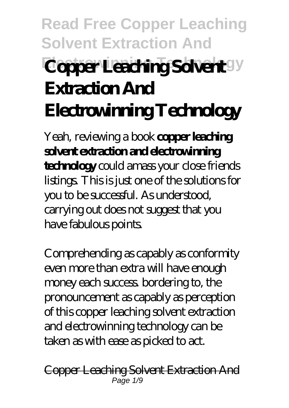# **Read Free Copper Leaching Solvent Extraction And Coper Leating Sokert**<sup>gy</sup> **Extraction And Electrowinning Technology**

Yeah, reviewing a book **copper leaching solvent extraction and electrowinning technology** could amass your close friends listings. This is just one of the solutions for you to be successful. As understood, carrying out does not suggest that you have fabulous points.

Comprehending as capably as conformity even more than extra will have enough money each success. bordering to, the pronouncement as capably as perception of this copper leaching solvent extraction and electrowinning technology can be taken as with ease as picked to act.

Copper Leaching Solvent Extraction And  $P$ age 1/9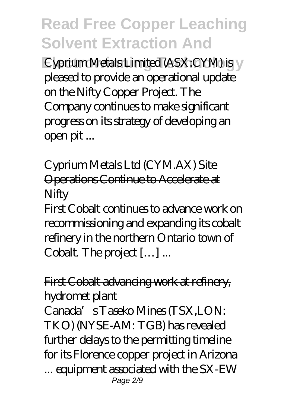**Eyprium Metals Limited (ASX:CYM) is V** pleased to provide an operational update on the Nifty Copper Project. The Company continues to make significant progress on its strategy of developing an open pit ...

Cyprium Metals Ltd (CYM.AX) Site Operations Continue to Accelerate at **Nifty** 

First Cobalt continues to advance work on recommissioning and expanding its cobalt refinery in the northern Ontario town of Cobalt. The project […] ...

#### First Cobalt advancing work at refinery, hydromet plant

Canada's Taseko Mines (TSX,LON: TKO) (NYSE-AM: TGB) has revealed further delays to the permitting timeline for its Florence copper project in Arizona ... equipment associated with the SX-EW Page 2/9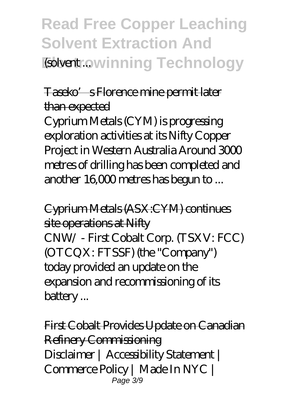## **Read Free Copper Leaching Solvent Extraction And Extent: Owinning Technology**

#### Taseko's Florence mine permit later than expected

Cyprium Metals (CYM) is progressing exploration activities at its Nifty Copper Project in Western Australia Around 3000 metres of drilling has been completed and another 16,000 metres has begun to ...

Cyprium Metals (ASX:CYM) continues site operations at Nifty CNW/ - First Cobalt Corp. (TSXV: FCC) (OTCQX: FTSSF) (the "Company") today provided an update on the expansion and recommissioning of its battery ...

First Cobalt Provides Update on Canadian Refinery Commissioning Disclaimer | Accessibility Statement | Commerce Policy | Made In NYC | Page 3/9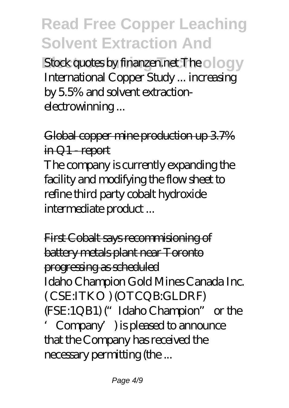**Electrowing Stock quotes by finanzen.net The ology** International Copper Study ... increasing by 5.5% and solvent extractionelectrowinning ...

### Global copper mine production up 3.7% in Q1 - report

The company is currently expanding the facility and modifying the flow sheet to refine third party cobalt hydroxide intermediate product ...

First Cobalt says recommisioning of battery metals plant near Toronto progressing as scheduled Idaho Champion Gold Mines Canada Inc. ( CSE:ITKO ) (OTCQB:GLDRF) (FSE:1QB1) ("Idaho Champion" or the 'Company') is pleased to announce that the Company has received the necessary permitting (the ...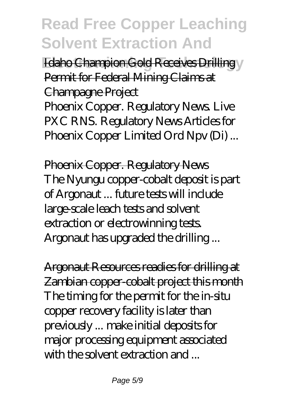**Edaho Champion Gold Receives Drilling** Permit for Federal Mining Claims at Champagne Project

Phoenix Copper. Regulatory News. Live PXC RNS. Regulatory News Articles for Phoenix Copper Limited Ord Npv (Di) ...

Phoenix Copper. Regulatory News The Nyungu copper-cobalt deposit is part of Argonaut ... future tests will include large-scale leach tests and solvent extraction or electrowinning tests. Argonaut has upgraded the drilling ...

Argonaut Resources readies for drilling at Zambian copper-cobalt project this month The timing for the permit for the in-situ copper recovery facility is later than previously ... make initial deposits for major processing equipment associated with the solvent extraction and ...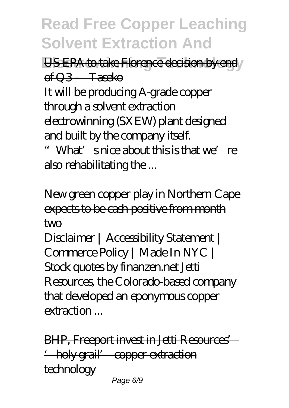**US EPA to take Florence decision by end** of Q3 – Taseko It will be producing A-grade copper through a solvent extraction electrowinning (SXEW) plant designed and built by the company itself.

"What's nice about this is that we're also rehabilitating the ...

New green copper play in Northern Cape expects to be cash positive from month two

Disclaimer | Accessibility Statement | Commerce Policy | Made In NYC | Stock quotes by finanzen.net Jetti Resources, the Colorado-based company that developed an eponymous copper extraction ...

BHP, Freeport invest in Jetti Resources' 'holy grail' copper extraction **technology** Page 6/9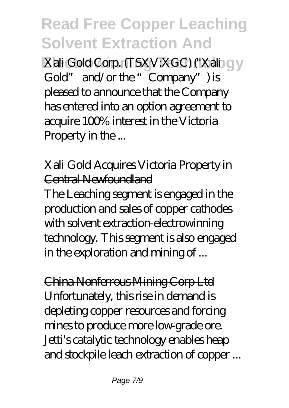**Electronic Xali Gold Corp. (TSXV:XGC) ("Xali GV** Gold" and/or the "Company") is pleased to announce that the Company has entered into an option agreement to acquire 100% interest in the Victoria Property in the ...

Xali Gold Acquires Victoria Property in Central Newfoundland The Leaching segment is engaged in the production and sales of copper cathodes with solvent extraction-electrowinning technology. This segment is also engaged in the exploration and mining of ...

China Nonferrous Mining Corp Ltd Unfortunately, this rise in demand is depleting copper resources and forcing mines to produce more low-grade ore. Jetti's catalytic technology enables heap and stockpile leach extraction of copper ...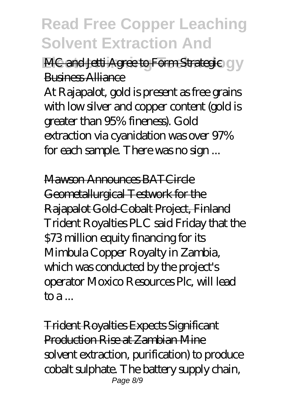**MC and Jetti Agree to Form Strategic CIV** Business Alliance

At Rajapalot, gold is present as free grains with low silver and copper content (gold is greater than 95% fineness). Gold extraction via cyanidation was over 97% for each sample. There was no sign ...

Mawon Announces BATCircle Geometallurgical Testwork for the Rajapalot Gold-Cobalt Project, Finland Trident Royalties PLC said Friday that the \$73 million equity financing for its Mimbula Copper Royalty in Zambia, which was conducted by the project's operator Moxico Resources Plc, will lead  $\mathsf{toa}$ ...

Trident Royalties Expects Significant Production Rise at Zambian Mine solvent extraction, purification) to produce cobalt sulphate. The battery supply chain, Page 8/9